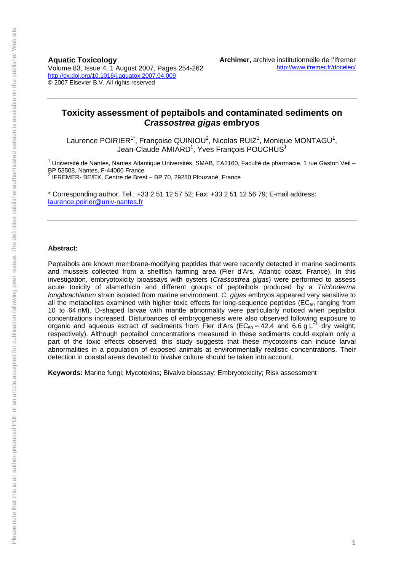**Aquatic Toxicology** 

Volume 83, Issue 4, 1 August 2007, Pages 254-262 http://dx.doi.org/10.1016/j.aquatox.2007.04.009 © 2007 Elsevier B.V. All rights reserved

# **Toxicity assessment of peptaibols and contaminated sediments on**  *Crassostrea gigas* **embryos**

Laurence POIRIER<sup>1\*</sup>, Françoise QUINIOU<sup>2</sup>, Nicolas RUIZ<sup>1</sup>, Monique MONTAGU<sup>1</sup>, Jean-Claude AMIARD<sup>1</sup>, Yves François POUCHUS<sup>1</sup>

<sup>1</sup> Université de Nantes, Nantes Atlantique Universités, SMAB, EA2160, Faculté de pharmacie, 1 rue Gaston Veil – BP 53508, Nantes, F-44000 France 2 IFREMER- BE/EX, Centre de Brest – BP 70, 29280 Plouzané, France

\* Corresponding author. Tel.: +33 2 51 12 57 52; Fax: +33 2 51 12 56 79; E-mail address: laurence.poirier@univ-nantes.fr

#### **Abstract:**

Peptaibols are known membrane-modifying peptides that were recently detected in marine sediments and mussels collected from a shellfish farming area (Fier d'Ars, Atlantic coast, France). In this investigation, embryotoxicity bioassays with oysters (*Crassostrea gigas*) were performed to assess acute toxicity of alamethicin and different groups of peptaibols produced by a *Trichoderma longibrachiatum* strain isolated from marine environment. *C. gigas* embryos appeared very sensitive to all the metabolites examined with higher toxic effects for long-sequence peptides ( $EC_{50}$  ranging from 10 to 64 nM). D-shaped larvae with mantle abnormality were particularly noticed when peptaibol concentrations increased. Disturbances of embryogenesis were also observed following exposure to organic and aqueous extract of sediments from Fier d'Ars (EC<sub>50</sub> = 42.4 and 6.6 g L<sup>-1</sup> dry weight, respectively). Although peptaibol concentrations measured in these sediments could explain only a part of the toxic effects observed, this study suggests that these mycotoxins can induce larval abnormalities in a population of exposed animals at environmentally realistic concentrations. Their detection in coastal areas devoted to bivalve culture should be taken into account.

**Keywords:** Marine fungi; Mycotoxins; Bivalve bioassay; Embryotoxicity; Risk assessment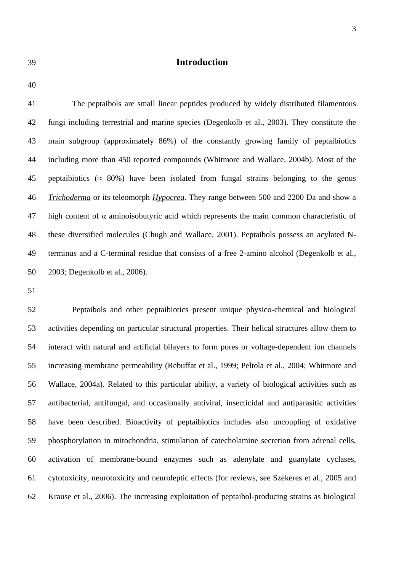# 39 **Introduction**

40

41 The peptaibols are small linear peptides produced by widely distributed filamentous 42 fungi including terrestrial and marine species (Degenkolb et al., 2003). They constitute the 43 main subgroup (approximately 86%) of the constantly growing family of peptaibiotics 44 including more than 450 reported compounds (Whitmore and Wallace, 2004b). Most of the 45 peptaibiotics ( $\approx 80\%$ ) have been isolated from fungal strains belonging to the genus 46 *Trichoderma* or its teleomorph *Hypocrea*. They range between 500 and 2200 Da and show a 47 high content of  $\alpha$  aminoisobutyric acid which represents the main common characteristic of 48 these diversified molecules (Chugh and Wallace, 2001). Peptaibols possess an acylated N-49 terminus and a C-terminal residue that consists of a free 2-amino alcohol (Degenkolb et al., 50 2003; Degenkolb et al., 2006).

51

52 Peptaibols and other peptaibiotics present unique physico-chemical and biological 53 activities depending on particular structural properties. Their helical structures allow them to 54 interact with natural and artificial bilayers to form pores or voltage-dependent ion channels 55 increasing membrane permeability (Rebuffat et al., 1999; Peltola et al., 2004; Whitmore and 56 Wallace, 2004a). Related to this particular ability, a variety of biological activities such as 57 antibacterial, antifungal, and occasionally antiviral, insecticidal and antiparasitic activities 58 have been described. Bioactivity of peptaibiotics includes also uncoupling of oxidative 59 phosphorylation in mitochondria, stimulation of catecholamine secretion from adrenal cells, 60 activation of membrane-bound enzymes such as adenylate and guanylate cyclases, 61 cytotoxicity, neurotoxicity and neuroleptic effects (for reviews, see Szekeres et al., 2005 and 62 Krause et al., 2006). The increasing exploitation of peptaibol-producing strains as biological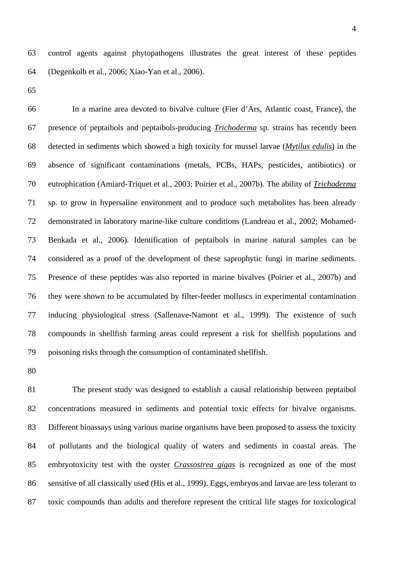63 control agents against phytopathogens illustrates the great interest of these peptides 64 (Degenkolb et al., 2006; Xiao-Yan et al., 2006).

65

66 In a marine area devoted to bivalve culture (Fier d'Ars, Atlantic coast, France), the 67 presence of peptaibols and peptaibols-producing *Trichoderma* sp. strains has recently been 68 detected in sediments which showed a high toxicity for mussel larvae (*Mytilus edulis*) in the 69 absence of significant contaminations (metals, PCBs, HAPs, pesticides, antibiotics) or 70 eutrophication (Amiard-Triquet et al., 2003; Poirier et al., 2007b). The ability of *Trichoderma* 71 sp. to grow in hypersaline environment and to produce such metabolites has been already 72 demonstrated in laboratory marine-like culture conditions (Landreau et al., 2002; Mohamed-73 Benkada et al., 2006). Identification of peptaibols in marine natural samples can be 74 considered as a proof of the development of these saprophytic fungi in marine sediments. 75 Presence of these peptides was also reported in marine bivalves (Poirier et al., 2007b) and 76 they were shown to be accumulated by filter-feeder molluscs in experimental contamination 77 inducing physiological stress (Sallenave-Namont et al., 1999). The existence of such 78 compounds in shellfish farming areas could represent a risk for shellfish populations and 79 poisoning risks through the consumption of contaminated shellfish.

80

81 The present study was designed to establish a causal relationship between peptaibol 82 concentrations measured in sediments and potential toxic effects for bivalve organisms. 83 Different bioassays using various marine organisms have been proposed to assess the toxicity 84 of pollutants and the biological quality of waters and sediments in coastal areas. The 85 embryotoxicity test with the oyster *Crassostrea gigas* is recognized as one of the most 86 sensitive of all classically used (His et al., 1999). Eggs, embryos and larvae are less tolerant to 87 toxic compounds than adults and therefore represent the critical life stages for toxicological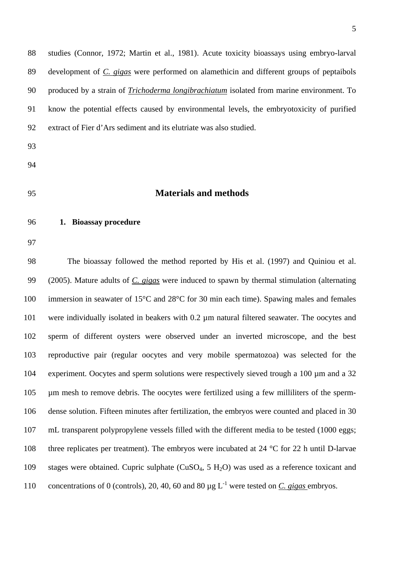88 studies (Connor, 1972; Martin et al., 1981). Acute toxicity bioassays using embryo-larval 89 development of *C. gigas* were performed on alamethicin and different groups of peptaibols 90 produced by a strain of *Trichoderma longibrachiatum* isolated from marine environment. To 91 know the potential effects caused by environmental levels, the embryotoxicity of purified 92 extract of Fier d'Ars sediment and its elutriate was also studied.

- 93
- 94
- 

# 95 **Materials and methods**

- 96 **1. Bioassay procedure**
- 97

98 The bioassay followed the method reported by His et al. (1997) and Quiniou et al. 99 (2005). Mature adults of *C. gigas* were induced to spawn by thermal stimulation (alternating 100 immersion in seawater of 15°C and 28°C for 30 min each time). Spawing males and females 101 were individually isolated in beakers with 0.2 µm natural filtered seawater. The oocytes and 102 sperm of different oysters were observed under an inverted microscope, and the best 103 reproductive pair (regular oocytes and very mobile spermatozoa) was selected for the 104 experiment. Oocytes and sperm solutions were respectively sieved trough a 100 µm and a 32 105 µm mesh to remove debris. The oocytes were fertilized using a few milliliters of the sperm-106 dense solution. Fifteen minutes after fertilization, the embryos were counted and placed in 30 107 mL transparent polypropylene vessels filled with the different media to be tested (1000 eggs; 108 three replicates per treatment). The embryos were incubated at 24 °C for 22 h until D-larvae 109 stages were obtained. Cupric sulphate  $(CuSO<sub>4</sub>, 5 H<sub>2</sub>O)$  was used as a reference toxicant and 110 concentrations of 0 (controls), 20, 40, 60 and 80  $\mu$ g L<sup>-1</sup> were tested on *C. gigas* embryos.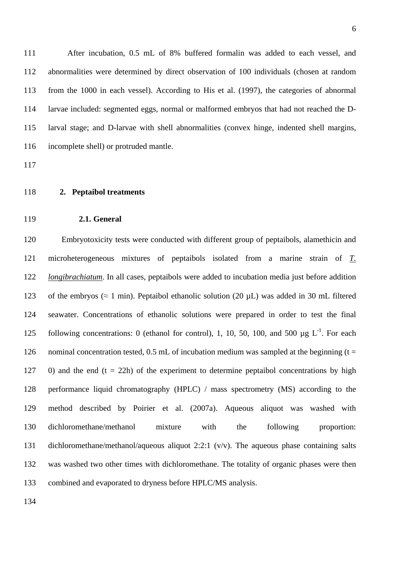111 After incubation, 0.5 mL of 8% buffered formalin was added to each vessel, and 112 abnormalities were determined by direct observation of 100 individuals (chosen at random 113 from the 1000 in each vessel). According to His et al. (1997), the categories of abnormal 114 larvae included: segmented eggs, normal or malformed embryos that had not reached the D-115 larval stage; and D-larvae with shell abnormalities (convex hinge, indented shell margins, 116 incomplete shell) or protruded mantle.

117

- 118 **2. Peptaibol treatments**
- 119 **2.1. General**

120 Embryotoxicity tests were conducted with different group of peptaibols, alamethicin and 121 microheterogeneous mixtures of peptaibols isolated from a marine strain of *T.*  122 *longibrachiatum*. In all cases, peptaibols were added to incubation media just before addition 123 of the embryos ( $\approx 1$  min). Peptaibol ethanolic solution (20  $\mu$ L) was added in 30 mL filtered 124 seawater. Concentrations of ethanolic solutions were prepared in order to test the final following concentrations: 0 (ethanol for control), 1, 10, 50, 100, and 500  $\mu$ g L<sup>-1</sup>. For each 126 nominal concentration tested, 0.5 mL of incubation medium was sampled at the beginning  $(t =$ 127 0) and the end  $(t = 22h)$  of the experiment to determine peptaibol concentrations by high 128 performance liquid chromatography (HPLC) / mass spectrometry (MS) according to the 129 method described by Poirier et al. (2007a). Aqueous aliquot was washed with 130 dichloromethane/methanol mixture with the following proportion: 131 dichloromethane/methanol/aqueous aliquot 2:2:1 (v/v). The aqueous phase containing salts 132 was washed two other times with dichloromethane. The totality of organic phases were then 133 combined and evaporated to dryness before HPLC/MS analysis.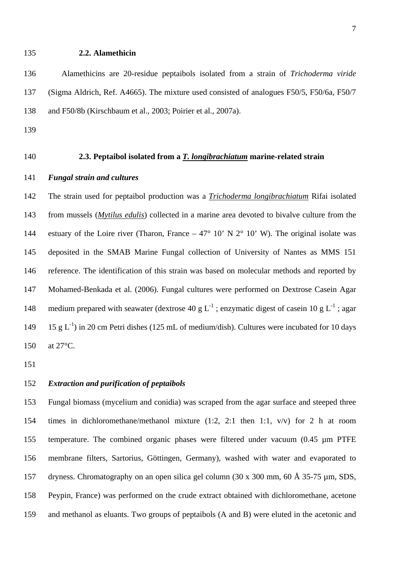#### 135 **2.2. Alamethicin**

136 Alamethicins are 20-residue peptaibols isolated from a strain of *Trichoderma viride*  137 (Sigma Aldrich, Ref. A4665). The mixture used consisted of analogues F50/5, F50/6a, F50/7 138 and F50/8b (Kirschbaum et al., 2003; Poirier et al., 2007a).

- 139
- 

# 140 **2.3. Peptaibol isolated from a** *T. longibrachiatum* **marine-related strain**

## 141 *Fungal strain and cultures*

142 The strain used for peptaibol production was a *Trichoderma longibrachiatum* Rifai isolated 143 from mussels (*Mytilus edulis*) collected in a marine area devoted to bivalve culture from the 144 estuary of the Loire river (Tharon, France – 47° 10' N  $2^{\circ}$  10' W). The original isolate was 145 deposited in the SMAB Marine Fungal collection of University of Nantes as MMS 151 146 reference. The identification of this strain was based on molecular methods and reported by 147 Mohamed-Benkada et al. (2006). Fungal cultures were performed on Dextrose Casein Agar 148 medium prepared with seawater (dextrose 40 g L<sup>-1</sup>; enzymatic digest of casein 10 g L<sup>-1</sup>; agar 149 15 g L<sup>-1</sup>) in 20 cm Petri dishes (125 mL of medium/dish). Cultures were incubated for 10 days 150 at 27°C.

151

## 152 *Extraction and purification of peptaibols*

153 Fungal biomass (mycelium and conidia) was scraped from the agar surface and steeped three 154 times in dichloromethane/methanol mixture (1:2, 2:1 then 1:1, v/v) for 2 h at room 155 temperature. The combined organic phases were filtered under vacuum (0.45 µm PTFE 156 membrane filters, Sartorius, Göttingen, Germany), washed with water and evaporated to 157 dryness. Chromatography on an open silica gel column (30 x 300 mm, 60 Å 35-75 µm, SDS, 158 Peypin, France) was performed on the crude extract obtained with dichloromethane, acetone 159 and methanol as eluants. Two groups of peptaibols (A and B) were eluted in the acetonic and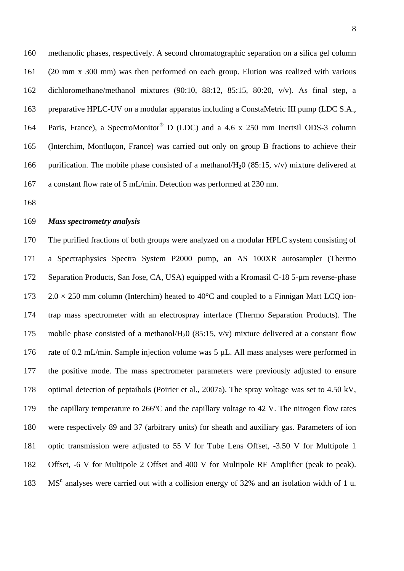160 methanolic phases, respectively. A second chromatographic separation on a silica gel column 161 (20 mm x 300 mm) was then performed on each group. Elution was realized with various 162 dichloromethane/methanol mixtures (90:10, 88:12, 85:15, 80:20, v/v). As final step, a 163 preparative HPLC-UV on a modular apparatus including a ConstaMetric III pump (LDC S.A., 164 Paris, France), a SpectroMonitor<sup>®</sup> D (LDC) and a 4.6 x 250 mm Inertsil ODS-3 column 165 (Interchim, Montluçon, France) was carried out only on group B fractions to achieve their 166 purification. The mobile phase consisted of a methanol/ $H_2$ 0 (85:15, v/v) mixture delivered at 167 a constant flow rate of 5 mL/min. Detection was performed at 230 nm.

168

## 169 *Mass spectrometry analysis*

170 The purified fractions of both groups were analyzed on a modular HPLC system consisting of 171 a Spectraphysics Spectra System P2000 pump, an AS 100XR autosampler (Thermo 172 Separation Products, San Jose, CA, USA) equipped with a Kromasil C-18 5-µm reverse-phase 173 2.0  $\times$  250 mm column (Interchim) heated to 40 $^{\circ}$ C and coupled to a Finnigan Matt LCO ion-174 trap mass spectrometer with an electrospray interface (Thermo Separation Products). The 175 mobile phase consisted of a methanol/ $H<sub>2</sub>0$  (85:15, v/v) mixture delivered at a constant flow 176 rate of 0.2 mL/min. Sample injection volume was 5 µL. All mass analyses were performed in 177 the positive mode. The mass spectrometer parameters were previously adjusted to ensure 178 optimal detection of peptaibols (Poirier et al., 2007a). The spray voltage was set to 4.50 kV, 179 the capillary temperature to 266°C and the capillary voltage to 42 V. The nitrogen flow rates 180 were respectively 89 and 37 (arbitrary units) for sheath and auxiliary gas. Parameters of ion 181 optic transmission were adjusted to 55 V for Tube Lens Offset, -3.50 V for Multipole 1 182 Offset, -6 V for Multipole 2 Offset and 400 V for Multipole RF Amplifier (peak to peak). 183 MS<sup>n</sup> analyses were carried out with a collision energy of 32% and an isolation width of 1 u.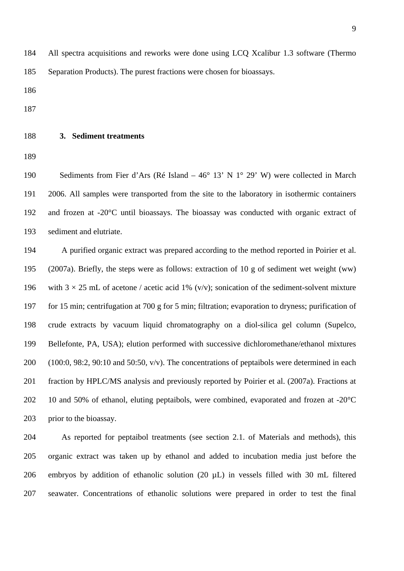184 All spectra acquisitions and reworks were done using LCQ Xcalibur 1.3 software (Thermo 185 Separation Products). The purest fractions were chosen for bioassays.

186

187

#### 188 **3. Sediment treatments**

189

190 Sediments from Fier d'Ars (Ré Island – 46° 13' N 1° 29' W) were collected in March 191 2006. All samples were transported from the site to the laboratory in isothermic containers 192 and frozen at -20°C until bioassays. The bioassay was conducted with organic extract of 193 sediment and elutriate.

194 A purified organic extract was prepared according to the method reported in Poirier et al. 195 (2007a). Briefly, the steps were as follows: extraction of 10 g of sediment wet weight (ww) 196 with  $3 \times 25$  mL of acetone / acetic acid 1% (v/v); sonication of the sediment-solvent mixture 197 for 15 min; centrifugation at 700 g for 5 min; filtration; evaporation to dryness; purification of 198 crude extracts by vacuum liquid chromatography on a diol-silica gel column (Supelco, 199 Bellefonte, PA, USA); elution performed with successive dichloromethane/ethanol mixtures 200 (100:0, 98:2, 90:10 and 50:50, v/v). The concentrations of peptaibols were determined in each 201 fraction by HPLC/MS analysis and previously reported by Poirier et al. (2007a). Fractions at 202 10 and 50% of ethanol, eluting peptaibols, were combined, evaporated and frozen at  $-20^{\circ}$ C 203 prior to the bioassay.

204 As reported for peptaibol treatments (see section 2.1. of Materials and methods), this 205 organic extract was taken up by ethanol and added to incubation media just before the 206 embryos by addition of ethanolic solution (20 µL) in vessels filled with 30 mL filtered 207 seawater. Concentrations of ethanolic solutions were prepared in order to test the final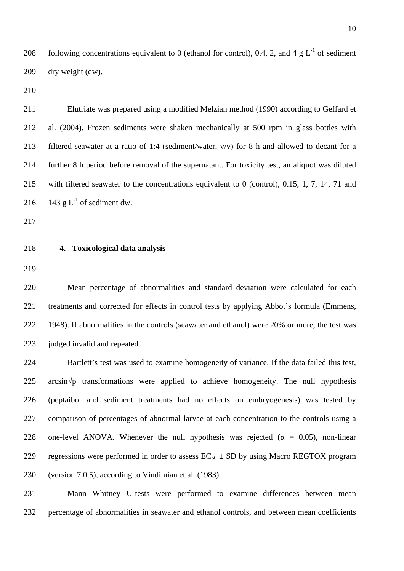208 following concentrations equivalent to 0 (ethanol for control), 0.4, 2, and 4 g  $L^{-1}$  of sediment 209 dry weight (dw).

210

211 Elutriate was prepared using a modified Melzian method (1990) according to Geffard et 212 al. (2004). Frozen sediments were shaken mechanically at 500 rpm in glass bottles with 213 filtered seawater at a ratio of 1:4 (sediment/water, v/v) for 8 h and allowed to decant for a 214 further 8 h period before removal of the supernatant. For toxicity test, an aliquot was diluted 215 with filtered seawater to the concentrations equivalent to 0 (control), 0.15, 1, 7, 14, 71 and 216 143 g  $L^{-1}$  of sediment dw.

217

#### 218 **4. Toxicological data analysis**

219

220 Mean percentage of abnormalities and standard deviation were calculated for each 221 treatments and corrected for effects in control tests by applying Abbot's formula (Emmens, 222 1948). If abnormalities in the controls (seawater and ethanol) were 20% or more, the test was 223 judged invalid and repeated.

224 Bartlett's test was used to examine homogeneity of variance. If the data failed this test,  $225$  arcsin $\sqrt{p}$  transformations were applied to achieve homogeneity. The null hypothesis 226 (peptaibol and sediment treatments had no effects on embryogenesis) was tested by 227 comparison of percentages of abnormal larvae at each concentration to the controls using a 228 one-level ANOVA. Whenever the null hypothesis was rejected ( $\alpha = 0.05$ ), non-linear 229 regressions were performed in order to assess  $EC_{50} \pm SD$  by using Macro REGTOX program 230 (version 7.0.5), according to Vindimian et al. (1983).

231 Mann Whitney U-tests were performed to examine differences between mean 232 percentage of abnormalities in seawater and ethanol controls, and between mean coefficients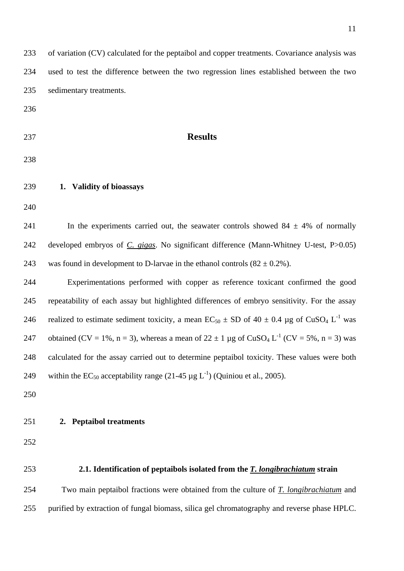|     | of variation (CV) calculated for the peptaibol and copper treatments. Covariance analysis was                        |
|-----|----------------------------------------------------------------------------------------------------------------------|
| 234 | used to test the difference between the two regression lines established between the two                             |
| 235 | sedimentary treatments.                                                                                              |
| 236 |                                                                                                                      |
| 237 | <b>Results</b>                                                                                                       |
|     |                                                                                                                      |
| 238 |                                                                                                                      |
| 239 | 1. Validity of bioassays                                                                                             |
| 240 |                                                                                                                      |
| 241 | In the experiments carried out, the seawater controls showed $84 \pm 4\%$ of normally                                |
| 242 | developed embryos of C. gigas. No significant difference (Mann-Whitney U-test, P>0.05)                               |
| 243 | was found in development to D-larvae in the ethanol controls $(82 \pm 0.2\%)$ .                                      |
| 244 | Experimentations performed with copper as reference toxicant confirmed the good                                      |
| 245 | repeatability of each assay but highlighted differences of embryo sensitivity. For the assay                         |
| 246 | realized to estimate sediment toxicity, a mean $EC_{50} \pm SD$ of $40 \pm 0.4$ µg of $CuSO_4 L^{-1}$ was            |
| 247 | obtained (CV = 1%, n = 3), whereas a mean of $22 \pm 1$ µg of CuSO <sub>4</sub> L <sup>-1</sup> (CV = 5%, n = 3) was |
| 248 | calculated for the assay carried out to determine peptaibol toxicity. These values were both                         |
| 249 | within the EC <sub>50</sub> acceptability range (21-45 $\mu$ g L <sup>-1</sup> ) (Quiniou et al., 2005).             |
| 250 |                                                                                                                      |
| 251 | 2. Peptaibol treatments                                                                                              |
| 252 |                                                                                                                      |
|     |                                                                                                                      |
| 253 | 2.1. Identification of peptaibols isolated from the <i>T. longibrachiatum</i> strain                                 |
|     | Two main peptaibol fractions were obtained from the culture of $\underline{T}$ . longibrachiatum and                 |
| 254 |                                                                                                                      |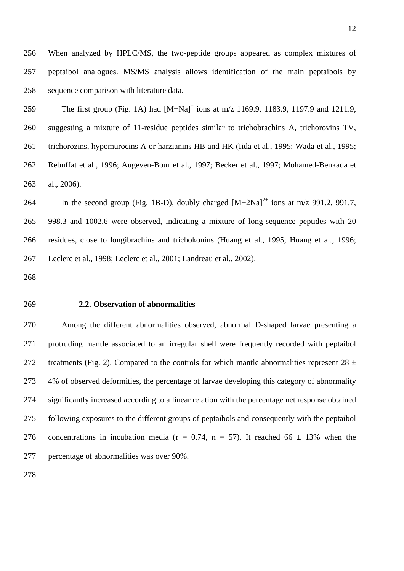256 When analyzed by HPLC/MS, the two-peptide groups appeared as complex mixtures of 257 peptaibol analogues. MS/MS analysis allows identification of the main peptaibols by 258 sequence comparison with literature data.

259 The first group (Fig. 1A) had  $[M+Na]^+$  ions at m/z 1169.9, 1183.9, 1197.9 and 1211.9, 260 suggesting a mixture of 11-residue peptides similar to trichobrachins A, trichorovins TV, 261 trichorozins, hypomurocins A or harzianins HB and HK (Iida et al., 1995; Wada et al., 1995; 262 Rebuffat et al., 1996; Augeven-Bour et al., 1997; Becker et al., 1997; Mohamed-Benkada et 263 al., 2006).

264 In the second group (Fig. 1B-D), doubly charged  $[M+2Na]^{2+}$  ions at m/z 991.2, 991.7, 265 998.3 and 1002.6 were observed, indicating a mixture of long-sequence peptides with 20 266 residues, close to longibrachins and trichokonins (Huang et al., 1995; Huang et al., 1996; 267 Leclerc et al., 1998; Leclerc et al., 2001; Landreau et al., 2002).

268

#### 269 **2.2. Observation of abnormalities**

270 Among the different abnormalities observed, abnormal D-shaped larvae presenting a 271 protruding mantle associated to an irregular shell were frequently recorded with peptaibol 272 treatments (Fig. 2). Compared to the controls for which mantle abnormalities represent  $28 \pm$ 273 4% of observed deformities, the percentage of larvae developing this category of abnormality 274 significantly increased according to a linear relation with the percentage net response obtained 275 following exposures to the different groups of peptaibols and consequently with the peptaibol 276 concentrations in incubation media ( $r = 0.74$ ,  $n = 57$ ). It reached 66  $\pm$  13% when the 277 percentage of abnormalities was over 90%.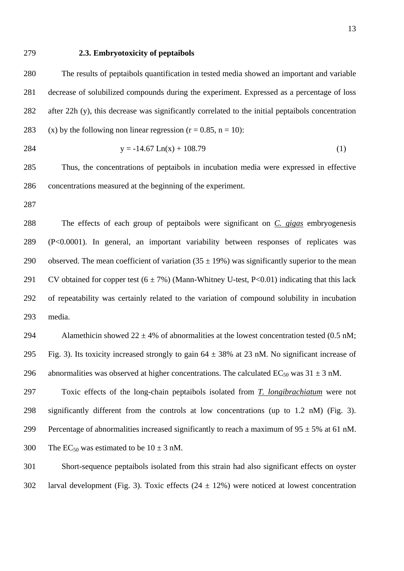#### 279 **2.3. Embryotoxicity of peptaibols**

280 The results of peptaibols quantification in tested media showed an important and variable 281 decrease of solubilized compounds during the experiment. Expressed as a percentage of loss 282 after 22h (y), this decrease was significantly correlated to the initial peptaibols concentration 283 (x) by the following non linear regression  $(r = 0.85, n = 10)$ :

$$
28^{\angle}
$$

$$
284 \t y = -14.67 \text{ Ln}(x) + 108.79 \t(1)
$$

285 Thus, the concentrations of peptaibols in incubation media were expressed in effective 286 concentrations measured at the beginning of the experiment.

287

288 The effects of each group of peptaibols were significant on *C. gigas* embryogenesis 289 (P<0.0001). In general, an important variability between responses of replicates was 290 observed. The mean coefficient of variation  $(35 \pm 19\%)$  was significantly superior to the mean 291 CV obtained for copper test  $(6 \pm 7\%)$  (Mann-Whitney U-test, P<0.01) indicating that this lack 292 of repeatability was certainly related to the variation of compound solubility in incubation 293 media.

294 Alamethicin showed  $22 \pm 4\%$  of abnormalities at the lowest concentration tested (0.5 nM; 295 Fig. 3). Its toxicity increased strongly to gain  $64 \pm 38\%$  at 23 nM. No significant increase of 296 abnormalities was observed at higher concentrations. The calculated  $EC_{50}$  was  $31 \pm 3$  nM.

297 Toxic effects of the long-chain peptaibols isolated from *T. longibrachiatum* were not 298 significantly different from the controls at low concentrations (up to 1.2 nM) (Fig. 3). 299 Percentage of abnormalities increased significantly to reach a maximum of  $95 \pm 5\%$  at 61 nM. 300 The EC<sub>50</sub> was estimated to be  $10 \pm 3$  nM.

301 Short-sequence peptaibols isolated from this strain had also significant effects on oyster 302 larval development (Fig. 3). Toxic effects  $(24 \pm 12\%)$  were noticed at lowest concentration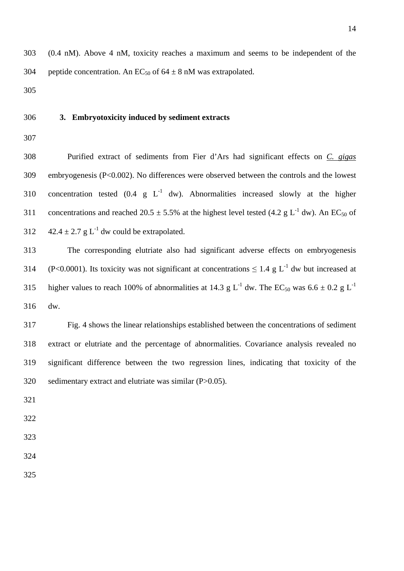## 306 **3. Embryotoxicity induced by sediment extracts**

307

308 Purified extract of sediments from Fier d'Ars had significant effects on *C. gigas* 309 embryogenesis (P<0.002). No differences were observed between the controls and the lowest 310 concentration tested  $(0.4 \text{ g } L^{-1}$  dw). Abnormalities increased slowly at the higher 311 concentrations and reached 20.5  $\pm$  5.5% at the highest level tested (4.2 g L<sup>-1</sup> dw). An EC<sub>50</sub> of 312  $42.4 \pm 2.7$  g L<sup>-1</sup> dw could be extrapolated.

313 The corresponding elutriate also had significant adverse effects on embryogenesis (P<0.0001). Its toxicity was not significant at concentrations  $\leq 1.4$  g L<sup>-1</sup> dw but increased at 315 higher values to reach 100% of abnormalities at 14.3 g L<sup>-1</sup> dw. The EC<sub>50</sub> was  $6.6 \pm 0.2$  g L<sup>-1</sup> 316 dw.

317 Fig. 4 shows the linear relationships established between the concentrations of sediment 318 extract or elutriate and the percentage of abnormalities. Covariance analysis revealed no 319 significant difference between the two regression lines, indicating that toxicity of the 320 sedimentary extract and elutriate was similar (P>0.05).

321

- 323
- 324
- 325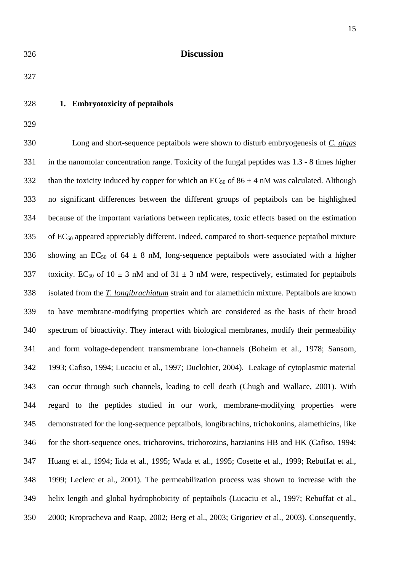326 **Discussion** 

327

## 328 **1. Embryotoxicity of peptaibols**

329

330 Long and short-sequence peptaibols were shown to disturb embryogenesis of *C. gigas* 331 in the nanomolar concentration range. Toxicity of the fungal peptides was 1.3 - 8 times higher 332 than the toxicity induced by copper for which an  $EC_{50}$  of  $86 \pm 4$  nM was calculated. Although 333 no significant differences between the different groups of peptaibols can be highlighted 334 because of the important variations between replicates, toxic effects based on the estimation  $335$  of EC<sub>50</sub> appeared appreciably different. Indeed, compared to short-sequence peptaibol mixture 336 showing an EC<sub>50</sub> of 64  $\pm$  8 nM, long-sequence peptaibols were associated with a higher 337 toxicity. EC<sub>50</sub> of 10  $\pm$  3 nM and of 31  $\pm$  3 nM were, respectively, estimated for peptaibols 338 isolated from the *T. longibrachiatum* strain and for alamethicin mixture. Peptaibols are known 339 to have membrane-modifying properties which are considered as the basis of their broad 340 spectrum of bioactivity. They interact with biological membranes, modify their permeability 341 and form voltage-dependent transmembrane ion-channels (Boheim et al., 1978; Sansom, 342 1993; Cafiso, 1994; Lucaciu et al., 1997; Duclohier, 2004). Leakage of cytoplasmic material 343 can occur through such channels, leading to cell death (Chugh and Wallace, 2001). With 344 regard to the peptides studied in our work, membrane-modifying properties were 345 demonstrated for the long-sequence peptaibols, longibrachins, trichokonins, alamethicins, like 346 for the short-sequence ones, trichorovins, trichorozins, harzianins HB and HK (Cafiso, 1994; 347 Huang et al., 1994; Iida et al., 1995; Wada et al., 1995; Cosette et al., 1999; Rebuffat et al., 348 1999; Leclerc et al., 2001). The permeabilization process was shown to increase with the 349 helix length and global hydrophobicity of peptaibols (Lucaciu et al., 1997; Rebuffat et al., 350 2000; Kropracheva and Raap, 2002; Berg et al., 2003; Grigoriev et al., 2003). Consequently,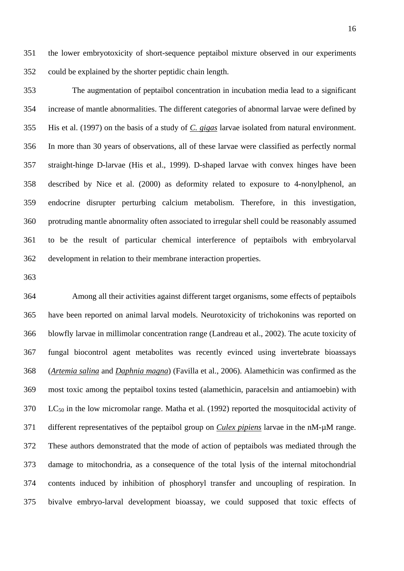351 the lower embryotoxicity of short-sequence peptaibol mixture observed in our experiments 352 could be explained by the shorter peptidic chain length.

353 The augmentation of peptaibol concentration in incubation media lead to a significant 354 increase of mantle abnormalities. The different categories of abnormal larvae were defined by 355 His et al. (1997) on the basis of a study of *C. gigas* larvae isolated from natural environment. 356 In more than 30 years of observations, all of these larvae were classified as perfectly normal 357 straight-hinge D-larvae (His et al., 1999). D-shaped larvae with convex hinges have been 358 described by Nice et al. (2000) as deformity related to exposure to 4-nonylphenol, an 359 endocrine disrupter perturbing calcium metabolism. Therefore, in this investigation, 360 protruding mantle abnormality often associated to irregular shell could be reasonably assumed 361 to be the result of particular chemical interference of peptaibols with embryolarval 362 development in relation to their membrane interaction properties.

363

364 Among all their activities against different target organisms, some effects of peptaibols 365 have been reported on animal larval models. Neurotoxicity of trichokonins was reported on 366 blowfly larvae in millimolar concentration range (Landreau et al., 2002). The acute toxicity of 367 fungal biocontrol agent metabolites was recently evinced using invertebrate bioassays 368 (*Artemia salina* and *Daphnia magna*) (Favilla et al., 2006). Alamethicin was confirmed as the 369 most toxic among the peptaibol toxins tested (alamethicin, paracelsin and antiamoebin) with  $370$  LC<sub>50</sub> in the low micromolar range. Matha et al. (1992) reported the mosquitocidal activity of 371 different representatives of the peptaibol group on *Culex pipiens* larvae in the nM-µM range. 372 These authors demonstrated that the mode of action of peptaibols was mediated through the 373 damage to mitochondria, as a consequence of the total lysis of the internal mitochondrial 374 contents induced by inhibition of phosphoryl transfer and uncoupling of respiration. In 375 bivalve embryo-larval development bioassay, we could supposed that toxic effects of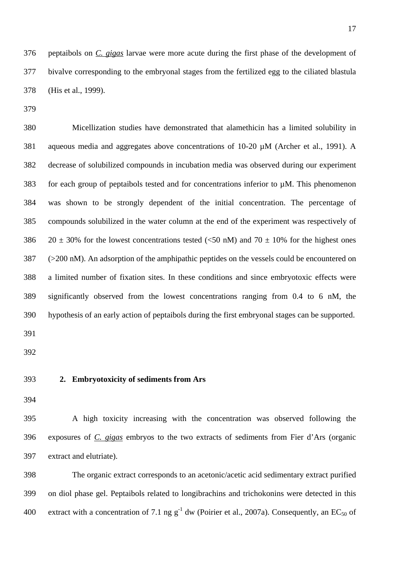376 peptaibols on *C. gigas* larvae were more acute during the first phase of the development of 377 bivalve corresponding to the embryonal stages from the fertilized egg to the ciliated blastula 378 (His et al., 1999).

379

380 Micellization studies have demonstrated that alamethicin has a limited solubility in 381 aqueous media and aggregates above concentrations of 10-20 µM (Archer et al., 1991). A 382 decrease of solubilized compounds in incubation media was observed during our experiment 383 for each group of peptaibols tested and for concentrations inferior to µM. This phenomenon 384 was shown to be strongly dependent of the initial concentration. The percentage of 385 compounds solubilized in the water column at the end of the experiment was respectively of 386 20  $\pm$  30% for the lowest concentrations tested (<50 nM) and 70  $\pm$  10% for the highest ones 387 (>200 nM). An adsorption of the amphipathic peptides on the vessels could be encountered on 388 a limited number of fixation sites. In these conditions and since embryotoxic effects were 389 significantly observed from the lowest concentrations ranging from 0.4 to 6 nM, the 390 hypothesis of an early action of peptaibols during the first embryonal stages can be supported.

391

392

## 393 **2. Embryotoxicity of sediments from Ars**

394

395 A high toxicity increasing with the concentration was observed following the 396 exposures of *C. gigas* embryos to the two extracts of sediments from Fier d'Ars (organic 397 extract and elutriate).

398 The organic extract corresponds to an acetonic/acetic acid sedimentary extract purified 399 on diol phase gel. Peptaibols related to longibrachins and trichokonins were detected in this 400 extract with a concentration of 7.1 ng  $g^{-1}$  dw (Poirier et al., 2007a). Consequently, an EC<sub>50</sub> of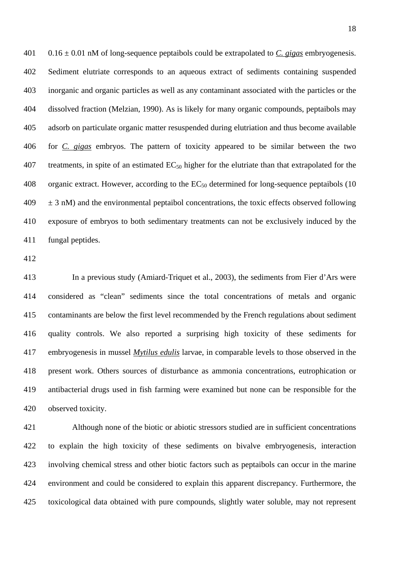401 0.16 ± 0.01 nM of long-sequence peptaibols could be extrapolated to *C. gigas* embryogenesis. 402 Sediment elutriate corresponds to an aqueous extract of sediments containing suspended 403 inorganic and organic particles as well as any contaminant associated with the particles or the 404 dissolved fraction (Melzian, 1990). As is likely for many organic compounds, peptaibols may 405 adsorb on particulate organic matter resuspended during elutriation and thus become available 406 for *C. gigas* embryos. The pattern of toxicity appeared to be similar between the two 407 treatments, in spite of an estimated  $EC_{50}$  higher for the elutriate than that extrapolated for the 408 organic extract. However, according to the  $EC_{50}$  determined for long-sequence peptaibols (10  $409 \pm 3$  nM) and the environmental peptaibol concentrations, the toxic effects observed following 410 exposure of embryos to both sedimentary treatments can not be exclusively induced by the 411 fungal peptides.

412

413 In a previous study (Amiard-Triquet et al., 2003), the sediments from Fier d'Ars were 414 considered as "clean" sediments since the total concentrations of metals and organic 415 contaminants are below the first level recommended by the French regulations about sediment 416 quality controls. We also reported a surprising high toxicity of these sediments for 417 embryogenesis in mussel *Mytilus edulis* larvae, in comparable levels to those observed in the 418 present work. Others sources of disturbance as ammonia concentrations, eutrophication or 419 antibacterial drugs used in fish farming were examined but none can be responsible for the 420 observed toxicity.

421 Although none of the biotic or abiotic stressors studied are in sufficient concentrations 422 to explain the high toxicity of these sediments on bivalve embryogenesis, interaction 423 involving chemical stress and other biotic factors such as peptaibols can occur in the marine 424 environment and could be considered to explain this apparent discrepancy. Furthermore, the 425 toxicological data obtained with pure compounds, slightly water soluble, may not represent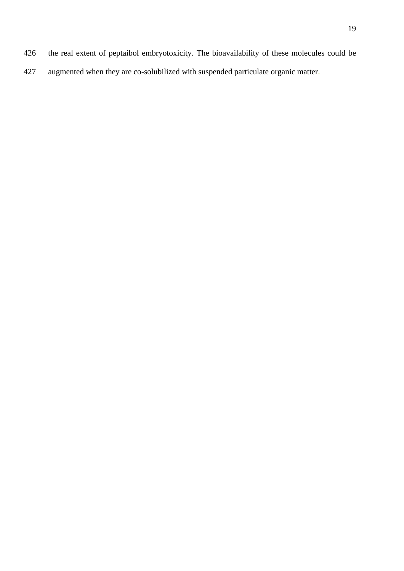- 426 the real extent of peptaibol embryotoxicity. The bioavailability of these molecules could be
- 427 augmented when they are co-solubilized with suspended particulate organic matter.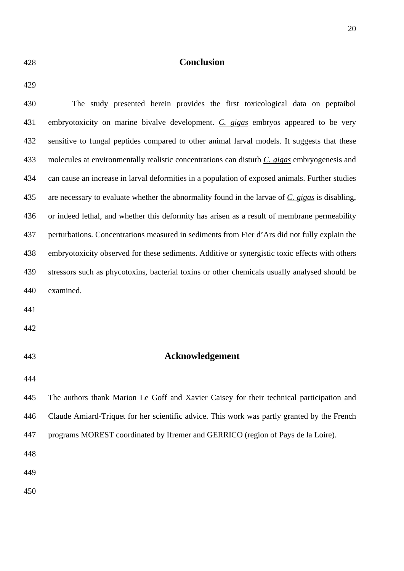## 428 **Conclusion**

| ٧ |
|---|
|---|

430 The study presented herein provides the first toxicological data on peptaibol 431 embryotoxicity on marine bivalve development. *C. gigas* embryos appeared to be very 432 sensitive to fungal peptides compared to other animal larval models. It suggests that these 433 molecules at environmentally realistic concentrations can disturb *C. gigas* embryogenesis and 434 can cause an increase in larval deformities in a population of exposed animals. Further studies 435 are necessary to evaluate whether the abnormality found in the larvae of *C. gigas* is disabling, 436 or indeed lethal, and whether this deformity has arisen as a result of membrane permeability 437 perturbations. Concentrations measured in sediments from Fier d'Ars did not fully explain the 438 embryotoxicity observed for these sediments. Additive or synergistic toxic effects with others 439 stressors such as phycotoxins, bacterial toxins or other chemicals usually analysed should be 440 examined. 441 442 443 **Acknowledgement**  444 445 The authors thank Marion Le Goff and Xavier Caisey for their technical participation and 446 Claude Amiard-Triquet for her scientific advice. This work was partly granted by the French 447 programs MOREST coordinated by Ifremer and GERRICO (region of Pays de la Loire). 448 449 450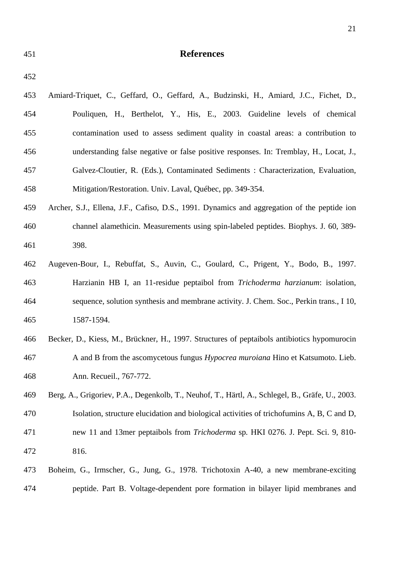| 451 | <b>References</b>                                                                               |
|-----|-------------------------------------------------------------------------------------------------|
| 452 |                                                                                                 |
| 453 | Amiard-Triquet, C., Geffard, O., Geffard, A., Budzinski, H., Amiard, J.C., Fichet, D.,          |
| 454 | Pouliquen, H., Berthelot, Y., His, E., 2003. Guideline levels of chemical                       |
| 455 | contamination used to assess sediment quality in coastal areas: a contribution to               |
| 456 | understanding false negative or false positive responses. In: Tremblay, H., Locat, J.,          |
| 457 | Galvez-Cloutier, R. (Eds.), Contaminated Sediments : Characterization, Evaluation,              |
| 458 | Mitigation/Restoration. Univ. Laval, Québec, pp. 349-354.                                       |
| 459 | Archer, S.J., Ellena, J.F., Cafiso, D.S., 1991. Dynamics and aggregation of the peptide ion     |
| 460 | channel alamethicin. Measurements using spin-labeled peptides. Biophys. J. 60, 389-             |
| 461 | 398.                                                                                            |
| 462 | Augeven-Bour, I., Rebuffat, S., Auvin, C., Goulard, C., Prigent, Y., Bodo, B., 1997.            |
| 463 | Harzianin HB I, an 11-residue peptaibol from <i>Trichoderma harzianum</i> : isolation,          |
| 464 | sequence, solution synthesis and membrane activity. J. Chem. Soc., Perkin trans., I 10,         |
| 465 | 1587-1594.                                                                                      |
| 466 | Becker, D., Kiess, M., Brückner, H., 1997. Structures of peptaibols antibiotics hypomurocin     |
| 467 | A and B from the ascomycetous fungus <i>Hypocrea muroiana</i> Hino et Katsumoto. Lieb.          |
| 468 | Ann. Recueil., 767-772.                                                                         |
| 469 | Berg, A., Grigoriev, P.A., Degenkolb, T., Neuhof, T., Härtl, A., Schlegel, B., Gräfe, U., 2003. |
| 470 | Isolation, structure elucidation and biological activities of trichofumins A, B, C and D,       |
| 471 | new 11 and 13mer peptaibols from Trichoderma sp. HKI 0276. J. Pept. Sci. 9, 810-                |
| 472 | 816.                                                                                            |
| 473 | Boheim, G., Irmscher, G., Jung, G., 1978. Trichotoxin A-40, a new membrane-exciting             |

474 peptide. Part B. Voltage-dependent pore formation in bilayer lipid membranes and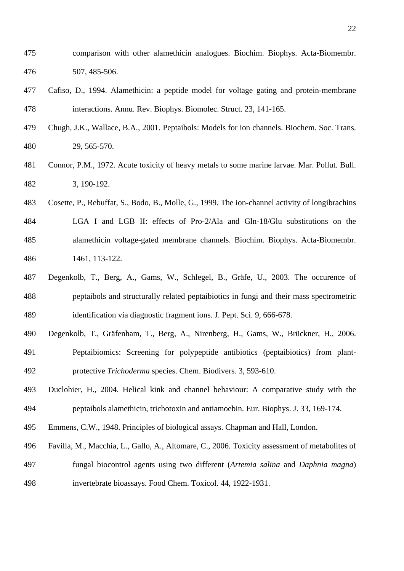- 475 comparison with other alamethicin analogues. Biochim. Biophys. Acta-Biomembr. 476 507, 485-506.
- 477 Cafiso, D., 1994. Alamethicin: a peptide model for voltage gating and protein-membrane 478 interactions. Annu. Rev. Biophys. Biomolec. Struct. 23, 141-165.
- 479 Chugh, J.K., Wallace, B.A., 2001. Peptaibols: Models for ion channels. Biochem. Soc. Trans. 480 29, 565-570.
- 481 Connor, P.M., 1972. Acute toxicity of heavy metals to some marine larvae. Mar. Pollut. Bull. 482 3, 190-192.
- 483 Cosette, P., Rebuffat, S., Bodo, B., Molle, G., 1999. The ion-channel activity of longibrachins 484 LGA I and LGB II: effects of Pro-2/Ala and Gln-18/Glu substitutions on the 485 alamethicin voltage-gated membrane channels. Biochim. Biophys. Acta-Biomembr. 486 1461, 113-122.
- 487 Degenkolb, T., Berg, A., Gams, W., Schlegel, B., Gräfe, U., 2003. The occurence of 488 peptaibols and structurally related peptaibiotics in fungi and their mass spectrometric 489 identification via diagnostic fragment ions. J. Pept. Sci. 9, 666-678.
- 490 Degenkolb, T., Gräfenham, T., Berg, A., Nirenberg, H., Gams, W., Brückner, H., 2006. 491 Peptaibiomics: Screening for polypeptide antibiotics (peptaibiotics) from plant-492 protective *Trichoderma* species. Chem. Biodivers. 3, 593-610.
- 493 Duclohier, H., 2004. Helical kink and channel behaviour: A comparative study with the 494 peptaibols alamethicin, trichotoxin and antiamoebin. Eur. Biophys. J. 33, 169-174.
- 495 Emmens, C.W., 1948. Principles of biological assays. Chapman and Hall, London.
- 496 Favilla, M., Macchia, L., Gallo, A., Altomare, C., 2006. Toxicity assessment of metabolites of 497 fungal biocontrol agents using two different (*Artemia salina* and *Daphnia magna*) 498 invertebrate bioassays. Food Chem. Toxicol. 44, 1922-1931.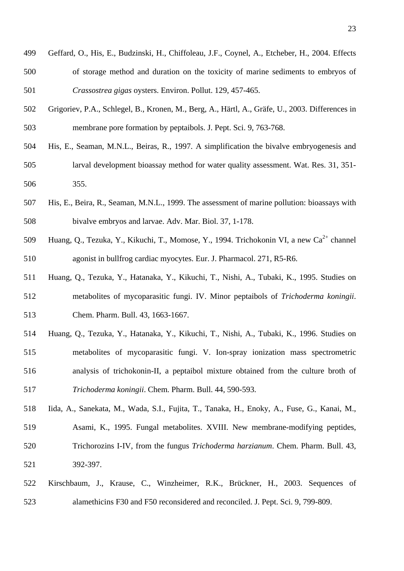- 499 Geffard, O., His, E., Budzinski, H., Chiffoleau, J.F., Coynel, A., Etcheber, H., 2004. Effects 500 of storage method and duration on the toxicity of marine sediments to embryos of 501 *Crassostrea gigas* oysters. Environ. Pollut. 129, 457-465.
- 502 Grigoriev, P.A., Schlegel, B., Kronen, M., Berg, A., Härtl, A., Gräfe, U., 2003. Differences in 503 membrane pore formation by peptaibols. J. Pept. Sci. 9, 763-768.
- 504 His, E., Seaman, M.N.L., Beiras, R., 1997. A simplification the bivalve embryogenesis and 505 larval development bioassay method for water quality assessment. Wat. Res. 31, 351- 506 355.
- 507 His, E., Beira, R., Seaman, M.N.L., 1999. The assessment of marine pollution: bioassays with 508 bivalve embryos and larvae. Adv. Mar. Biol. 37, 1-178.
- 509 Huang, Q., Tezuka, Y., Kikuchi, T., Momose, Y., 1994. Trichokonin VI, a new Ca<sup>2+</sup> channel 510 agonist in bullfrog cardiac myocytes. Eur. J. Pharmacol. 271, R5-R6.
- 511 Huang, Q., Tezuka, Y., Hatanaka, Y., Kikuchi, T., Nishi, A., Tubaki, K., 1995. Studies on 512 metabolites of mycoparasitic fungi. IV. Minor peptaibols of *Trichoderma koningii*. 513 Chem. Pharm. Bull. 43, 1663-1667.
- 514 Huang, Q., Tezuka, Y., Hatanaka, Y., Kikuchi, T., Nishi, A., Tubaki, K., 1996. Studies on 515 metabolites of mycoparasitic fungi. V. Ion-spray ionization mass spectrometric 516 analysis of trichokonin-II, a peptaibol mixture obtained from the culture broth of 517 *Trichoderma koningii*. Chem. Pharm. Bull. 44, 590-593.
- 518 Iida, A., Sanekata, M., Wada, S.I., Fujita, T., Tanaka, H., Enoky, A., Fuse, G., Kanai, M., 519 Asami, K., 1995. Fungal metabolites. XVIII. New membrane-modifying peptides, 520 Trichorozins I-IV, from the fungus *Trichoderma harzianum*. Chem. Pharm. Bull. 43, 521 392-397.
- 522 Kirschbaum, J., Krause, C., Winzheimer, R.K., Brückner, H., 2003. Sequences of 523 alamethicins F30 and F50 reconsidered and reconciled. J. Pept. Sci. 9, 799-809.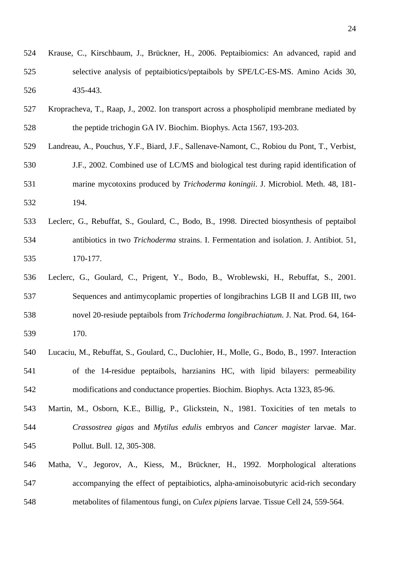- 524 Krause, C., Kirschbaum, J., Brückner, H., 2006. Peptaibiomics: An advanced, rapid and 525 selective analysis of peptaibiotics/peptaibols by SPE/LC-ES-MS. Amino Acids 30, 526 435-443.
- 527 Kropracheva, T., Raap, J., 2002. Ion transport across a phospholipid membrane mediated by 528 the peptide trichogin GA IV. Biochim. Biophys. Acta 1567, 193-203.
- 529 Landreau, A., Pouchus, Y.F., Biard, J.F., Sallenave-Namont, C., Robiou du Pont, T., Verbist,
- 530 J.F., 2002. Combined use of LC/MS and biological test during rapid identification of 531 marine mycotoxins produced by *Trichoderma koningii*. J. Microbiol. Meth. 48, 181- 532 194.
- 533 Leclerc, G., Rebuffat, S., Goulard, C., Bodo, B., 1998. Directed biosynthesis of peptaibol 534 antibiotics in two *Trichoderma* strains. I. Fermentation and isolation. J. Antibiot. 51, 535 170-177.
- 536 Leclerc, G., Goulard, C., Prigent, Y., Bodo, B., Wroblewski, H., Rebuffat, S., 2001. 537 Sequences and antimycoplamic properties of longibrachins LGB II and LGB III, two 538 novel 20-resiude peptaibols from *Trichoderma longibrachiatum*. J. Nat. Prod. 64, 164- 539 170.
- 540 Lucaciu, M., Rebuffat, S., Goulard, C., Duclohier, H., Molle, G., Bodo, B., 1997. Interaction 541 of the 14-residue peptaibols, harzianins HC, with lipid bilayers: permeability 542 modifications and conductance properties. Biochim. Biophys. Acta 1323, 85-96.
- 543 Martin, M., Osborn, K.E., Billig, P., Glickstein, N., 1981. Toxicities of ten metals to 544 *Crassostrea gigas* and *Mytilus edulis* embryos and *Cancer magister* larvae. Mar. 545 Pollut. Bull. 12, 305-308.
- 546 Matha, V., Jegorov, A., Kiess, M., Brückner, H., 1992. Morphological alterations 547 accompanying the effect of peptaibiotics, alpha-aminoisobutyric acid-rich secondary 548 metabolites of filamentous fungi, on *Culex pipiens* larvae. Tissue Cell 24, 559-564.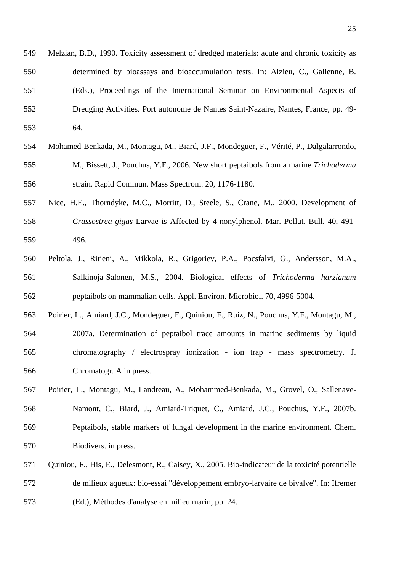549 Melzian, B.D., 1990. Toxicity assessment of dredged materials: acute and chronic toxicity as 550 determined by bioassays and bioaccumulation tests. In: Alzieu, C., Gallenne, B. 551 (Eds.), Proceedings of the International Seminar on Environmental Aspects of 552 Dredging Activities. Port autonome de Nantes Saint-Nazaire, Nantes, France, pp. 49- 553 64.

- 554 Mohamed-Benkada, M., Montagu, M., Biard, J.F., Mondeguer, F., Vérité, P., Dalgalarrondo, 555 M., Bissett, J., Pouchus, Y.F., 2006. New short peptaibols from a marine *Trichoderma* 556 strain. Rapid Commun. Mass Spectrom. 20, 1176-1180.
- 557 Nice, H.E., Thorndyke, M.C., Morritt, D., Steele, S., Crane, M., 2000. Development of 558 *Crassostrea gigas* Larvae is Affected by 4-nonylphenol. Mar. Pollut. Bull. 40, 491- 559 496.
- 560 Peltola, J., Ritieni, A., Mikkola, R., Grigoriev, P.A., Pocsfalvi, G., Andersson, M.A., 561 Salkinoja-Salonen, M.S., 2004. Biological effects of *Trichoderma harzianum* 562 peptaibols on mammalian cells. Appl. Environ. Microbiol. 70, 4996-5004.
- 563 Poirier, L., Amiard, J.C., Mondeguer, F., Quiniou, F., Ruiz, N., Pouchus, Y.F., Montagu, M., 564 2007a. Determination of peptaibol trace amounts in marine sediments by liquid 565 chromatography / electrospray ionization - ion trap - mass spectrometry. J. 566 Chromatogr. A in press.
- 567 Poirier, L., Montagu, M., Landreau, A., Mohammed-Benkada, M., Grovel, O., Sallenave-568 Namont, C., Biard, J., Amiard-Triquet, C., Amiard, J.C., Pouchus, Y.F., 2007b. 569 Peptaibols, stable markers of fungal development in the marine environment. Chem. 570 Biodivers. in press.
- 571 Quiniou, F., His, E., Delesmont, R., Caisey, X., 2005. Bio-indicateur de la toxicité potentielle 572 de milieux aqueux: bio-essai "développement embryo-larvaire de bivalve". In: Ifremer 573 (Ed.), Méthodes d'analyse en milieu marin, pp. 24.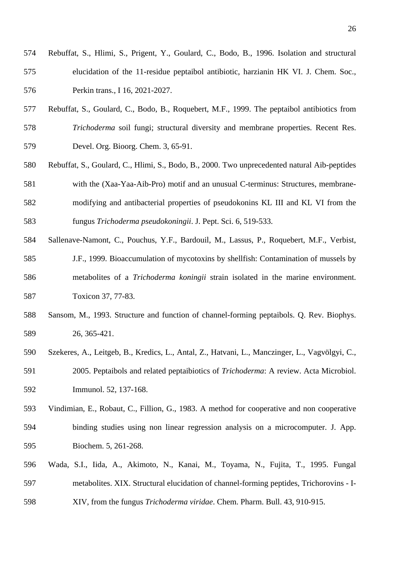- 574 Rebuffat, S., Hlimi, S., Prigent, Y., Goulard, C., Bodo, B., 1996. Isolation and structural 575 elucidation of the 11-residue peptaibol antibiotic, harzianin HK VI. J. Chem. Soc., 576 Perkin trans., I 16, 2021-2027.
- 577 Rebuffat, S., Goulard, C., Bodo, B., Roquebert, M.F., 1999. The peptaibol antibiotics from 578 *Trichoderma* soil fungi; structural diversity and membrane properties. Recent Res. 579 Devel. Org. Bioorg. Chem. 3, 65-91.
- 580 Rebuffat, S., Goulard, C., Hlimi, S., Bodo, B., 2000. Two unprecedented natural Aib-peptides 581 with the (Xaa-Yaa-Aib-Pro) motif and an unusual C-terminus: Structures, membrane-582 modifying and antibacterial properties of pseudokonins KL III and KL VI from the 583 fungus *Trichoderma pseudokoningii*. J. Pept. Sci. 6, 519-533.
- 584 Sallenave-Namont, C., Pouchus, Y.F., Bardouil, M., Lassus, P., Roquebert, M.F., Verbist,
- 585 J.F., 1999. Bioaccumulation of mycotoxins by shellfish: Contamination of mussels by 586 metabolites of a *Trichoderma koningii* strain isolated in the marine environment. 587 Toxicon 37, 77-83.
- 588 Sansom, M., 1993. Structure and function of channel-forming peptaibols. Q. Rev. Biophys. 589 26, 365-421.
- 590 Szekeres, A., Leitgeb, B., Kredics, L., Antal, Z., Hatvani, L., Manczinger, L., Vagvölgyi, C., 591 2005. Peptaibols and related peptaibiotics of *Trichoderma*: A review. Acta Microbiol. 592 Immunol. 52, 137-168.
- 593 Vindimian, E., Robaut, C., Fillion, G., 1983. A method for cooperative and non cooperative 594 binding studies using non linear regression analysis on a microcomputer. J. App. 595 Biochem. 5, 261-268.
- 596 Wada, S.I., Iida, A., Akimoto, N., Kanai, M., Toyama, N., Fujita, T., 1995. Fungal 597 metabolites. XIX. Structural elucidation of channel-forming peptides, Trichorovins - I-598 XIV, from the fungus *Trichoderma viridae*. Chem. Pharm. Bull. 43, 910-915.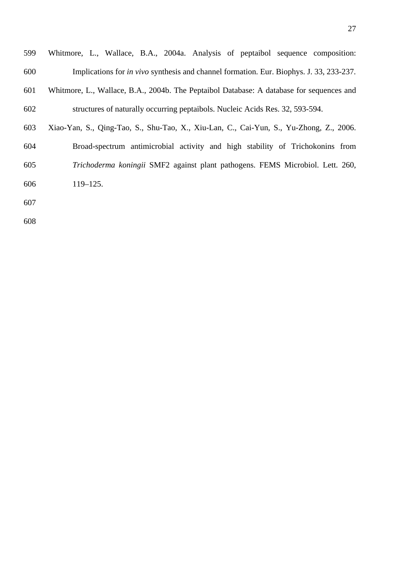| 599 | Whitmore, L., Wallace, B.A., 2004a. Analysis of peptaibol sequence composition:                |
|-----|------------------------------------------------------------------------------------------------|
| 600 | Implications for <i>in vivo</i> synthesis and channel formation. Eur. Biophys. J. 33, 233-237. |
| 601 | Whitmore, L., Wallace, B.A., 2004b. The Peptaibol Database: A database for sequences and       |
| 602 | structures of naturally occurring peptaibols. Nucleic Acids Res. 32, 593-594.                  |
| 603 | Xiao-Yan, S., Qing-Tao, S., Shu-Tao, X., Xiu-Lan, C., Cai-Yun, S., Yu-Zhong, Z., 2006.         |
| 604 | Broad-spectrum antimicrobial activity and high stability of Trichokonins from                  |
| 605 | Trichoderma koningii SMF2 against plant pathogens. FEMS Microbiol. Lett. 260,                  |
| 606 | $119 - 125.$                                                                                   |
| 607 |                                                                                                |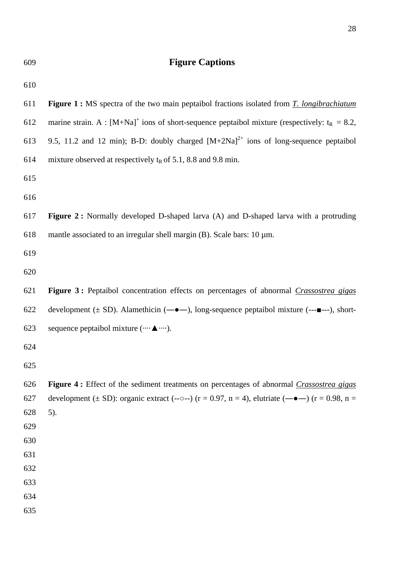| 609        | <b>Figure Captions</b>                                                                                                                     |
|------------|--------------------------------------------------------------------------------------------------------------------------------------------|
| 610        |                                                                                                                                            |
| 611        | <b>Figure 1:</b> MS spectra of the two main peptaibol fractions isolated from $\overline{T}$ . longibrachiatum                             |
| 612        | marine strain. A : $[M+Na]^+$ ions of short-sequence peptaibol mixture (respectively: $t_R = 8.2$ ,                                        |
| 613        | 9.5, 11.2 and 12 min); B-D: doubly charged $[M+2Na]^{2+}$ ions of long-sequence peptaibol                                                  |
| 614        | mixture observed at respectively $tR$ of 5.1, 8.8 and 9.8 min.                                                                             |
| 615        |                                                                                                                                            |
| 616        |                                                                                                                                            |
| 617        | Figure 2: Normally developed D-shaped larva (A) and D-shaped larva with a protruding                                                       |
| 618        | mantle associated to an irregular shell margin (B). Scale bars: $10 \mu m$ .                                                               |
| 619        |                                                                                                                                            |
| 620        |                                                                                                                                            |
| 621        | Figure 3: Peptaibol concentration effects on percentages of abnormal <i>Crassostrea gigas</i>                                              |
| 622        | development ( $\pm$ SD). Alamethicin ( $\leftarrow \bullet \leftarrow$ ), long-sequence peptaibol mixture (--- $\blacksquare$ ---), short- |
| 623        | sequence peptaibol mixture ( ▲ ).                                                                                                          |
| 624        |                                                                                                                                            |
| 625        |                                                                                                                                            |
| 626        | Figure 4: Effect of the sediment treatments on percentages of abnormal Crassostrea gigas                                                   |
| 627        | development ( $\pm$ SD): organic extract (--0--) (r = 0.97, n = 4), elutriate (- $\bullet$ -) (r = 0.98, n =                               |
| 628        | $5)$ .                                                                                                                                     |
| 629        |                                                                                                                                            |
| 630        |                                                                                                                                            |
| 631        |                                                                                                                                            |
| 632<br>633 |                                                                                                                                            |
| 634        |                                                                                                                                            |
| 635        |                                                                                                                                            |
|            |                                                                                                                                            |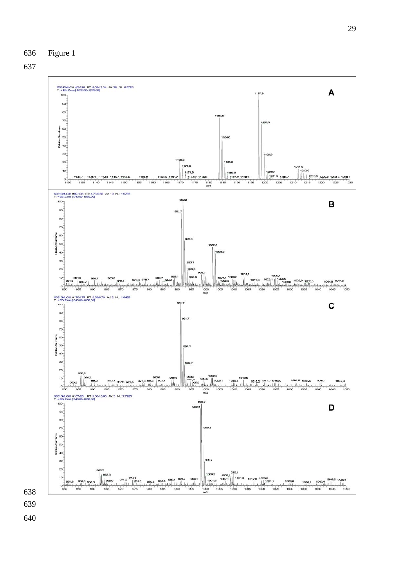



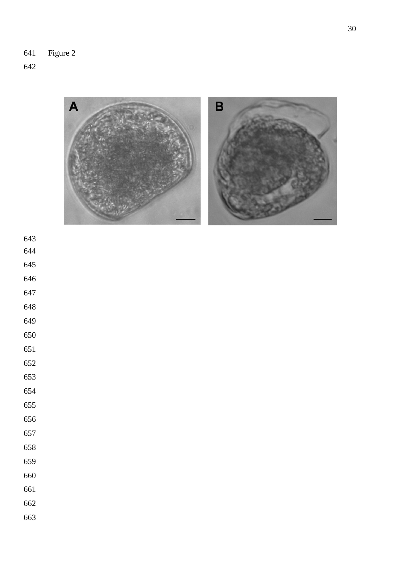641 Figure 2



- 
- 
- 
- 
- 
- 
- 
- 
- 
- 
- 
- 
- 
- 
- 
- 
- 
- 
- 
-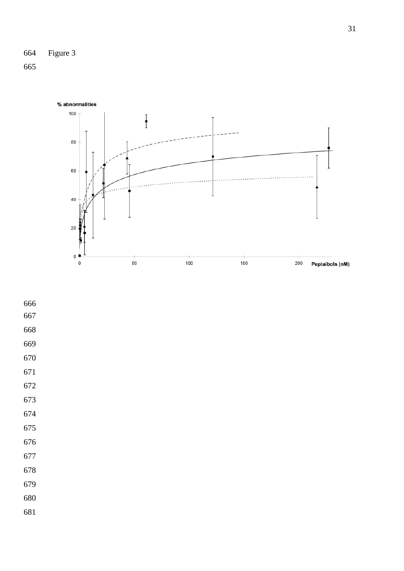

- 
- 
- 
- 
- 
- 
- 
- 
- 
- 
- 
- 
- 
- 
- 
- 
-